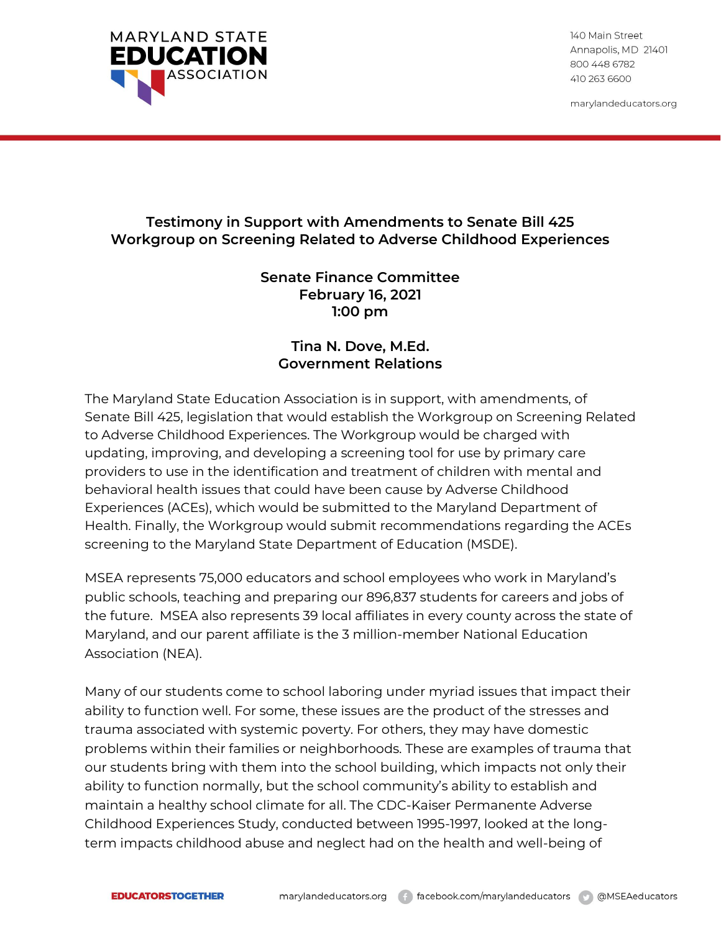

140 Main Street Annapolis, MD 21401 800 448 6782 410 263 6600

marylandeducators.org

## **Testimony in Support with Amendments to Senate Bill 425 Workgroup on Screening Related to Adverse Childhood Experiences**

## **Senate Finance Committee February 16, 2021 1:00 pm**

## **Tina N. Dove, M.Ed. Government Relations**

The Maryland State Education Association is in support, with amendments, of Senate Bill 425, legislation that would establish the Workgroup on Screening Related to Adverse Childhood Experiences. The Workgroup would be charged with updating, improving, and developing a screening tool for use by primary care providers to use in the identification and treatment of children with mental and behavioral health issues that could have been cause by Adverse Childhood Experiences (ACEs), which would be submitted to the Maryland Department of Health. Finally, the Workgroup would submit recommendations regarding the ACEs screening to the Maryland State Department of Education (MSDE).

MSEA represents 75,000 educators and school employees who work in Maryland's public schools, teaching and preparing our 896,837 students for careers and jobs of the future. MSEA also represents 39 local affiliates in every county across the state of Maryland, and our parent affiliate is the 3 million-member National Education Association (NEA).

Many of our students come to school laboring under myriad issues that impact their ability to function well. For some, these issues are the product of the stresses and trauma associated with systemic poverty. For others, they may have domestic problems within their families or neighborhoods. These are examples of trauma that our students bring with them into the school building, which impacts not only their ability to function normally, but the school community's ability to establish and maintain a healthy school climate for all. The CDC-Kaiser Permanente Adverse Childhood Experiences Study, conducted between 1995-1997, looked at the longterm impacts childhood abuse and neglect had on the health and well-being of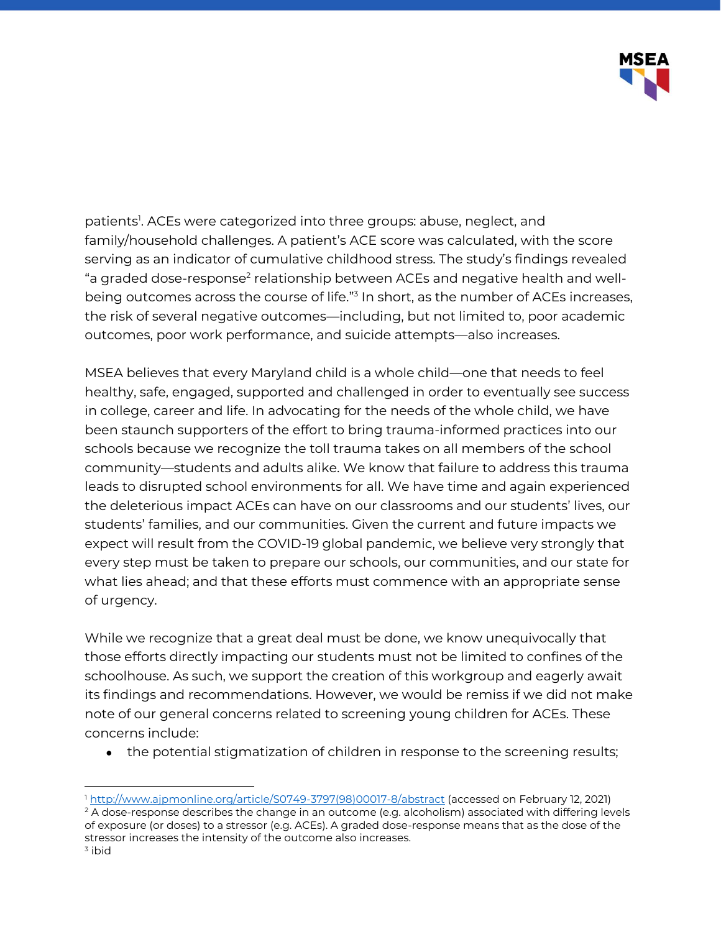

patients<sup>1</sup>. ACEs were categorized into three groups: abuse, neglect, and family/household challenges. A patient's ACE score was calculated, with the score serving as an indicator of cumulative childhood stress. The study's findings revealed "a graded dose-response $^{\scriptscriptstyle 2}$  relationship between ACEs and negative health and wellbeing outcomes across the course of life."<sup>3</sup> In short, as the number of ACEs increases, the risk of several negative outcomes—including, but not limited to, poor academic outcomes, poor work performance, and suicide attempts—also increases.

MSEA believes that every Maryland child is a whole child—one that needs to feel healthy, safe, engaged, supported and challenged in order to eventually see success in college, career and life. In advocating for the needs of the whole child, we have been staunch supporters of the effort to bring trauma-informed practices into our schools because we recognize the toll trauma takes on all members of the school community—students and adults alike. We know that failure to address this trauma leads to disrupted school environments for all. We have time and again experienced the deleterious impact ACEs can have on our classrooms and our students' lives, our students' families, and our communities. Given the current and future impacts we expect will result from the COVID-19 global pandemic, we believe very strongly that every step must be taken to prepare our schools, our communities, and our state for what lies ahead; and that these efforts must commence with an appropriate sense of urgency.

While we recognize that a great deal must be done, we know unequivocally that those efforts directly impacting our students must not be limited to confines of the schoolhouse. As such, we support the creation of this workgroup and eagerly await its findings and recommendations. However, we would be remiss if we did not make note of our general concerns related to screening young children for ACEs. These concerns include:

• the potential stigmatization of children in response to the screening results;

<sup>1</sup> [http://www.ajpmonline.org/article/S0749-3797\(98\)00017-8/abstract](http://www.ajpmonline.org/article/S0749-3797(98)00017-8/abstract) (accessed on February 12, 2021)  $2A$  dose-response describes the change in an outcome (e.g. alcoholism) associated with differing levels of exposure (or doses) to a stressor (e.g. ACEs). A graded dose-response means that as the dose of the stressor increases the intensity of the outcome also increases.